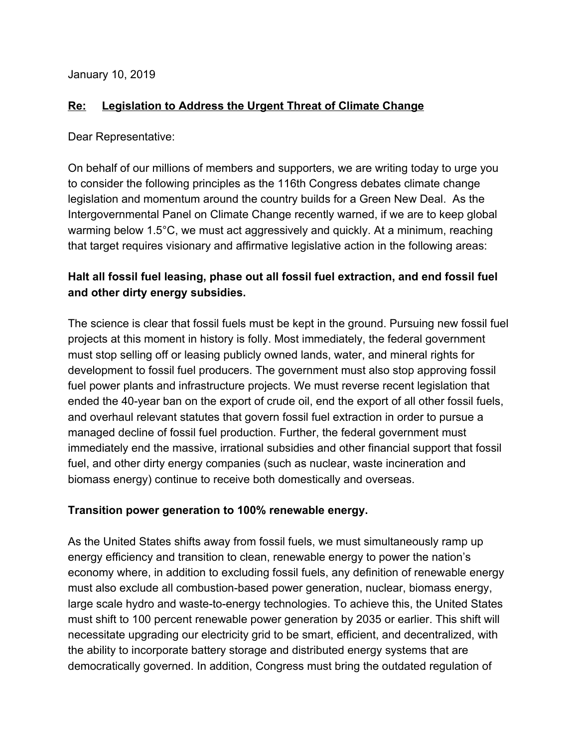January 10, 2019

### **Re: Legislation to Address the Urgent Threat of Climate Change**

Dear Representative:

On behalf of our millions of members and supporters, we are writing today to urge you to consider the following principles as the 116th Congress debates climate change legislation and momentum around the country builds for a Green New Deal. As the Intergovernmental Panel on Climate Change recently warned, if we are to keep global warming below 1.5°C, we must act aggressively and quickly. At a minimum, reaching that target requires visionary and affirmative legislative action in the following areas:

# **Halt all fossil fuel leasing, phase out all fossil fuel extraction, and end fossil fuel and other dirty energy subsidies.**

The science is clear that fossil fuels must be kept in the ground. Pursuing new fossil fuel projects at this moment in history is folly. Most immediately, the federal government must stop selling off or leasing publicly owned lands, water, and mineral rights for development to fossil fuel producers. The government must also stop approving fossil fuel power plants and infrastructure projects. We must reverse recent legislation that ended the 40-year ban on the export of crude oil, end the export of all other fossil fuels, and overhaul relevant statutes that govern fossil fuel extraction in order to pursue a managed decline of fossil fuel production. Further, the federal government must immediately end the massive, irrational subsidies and other financial support that fossil fuel, and other dirty energy companies (such as nuclear, waste incineration and biomass energy) continue to receive both domestically and overseas.

#### **Transition power generation to 100% renewable energy.**

As the United States shifts away from fossil fuels, we must simultaneously ramp up energy efficiency and transition to clean, renewable energy to power the nation's economy where, in addition to excluding fossil fuels, any definition of renewable energy must also exclude all combustion-based power generation, nuclear, biomass energy, large scale hydro and waste-to-energy technologies. To achieve this, the United States must shift to 100 percent renewable power generation by 2035 or earlier. This shift will necessitate upgrading our electricity grid to be smart, efficient, and decentralized, with the ability to incorporate battery storage and distributed energy systems that are democratically governed. In addition, Congress must bring the outdated regulation of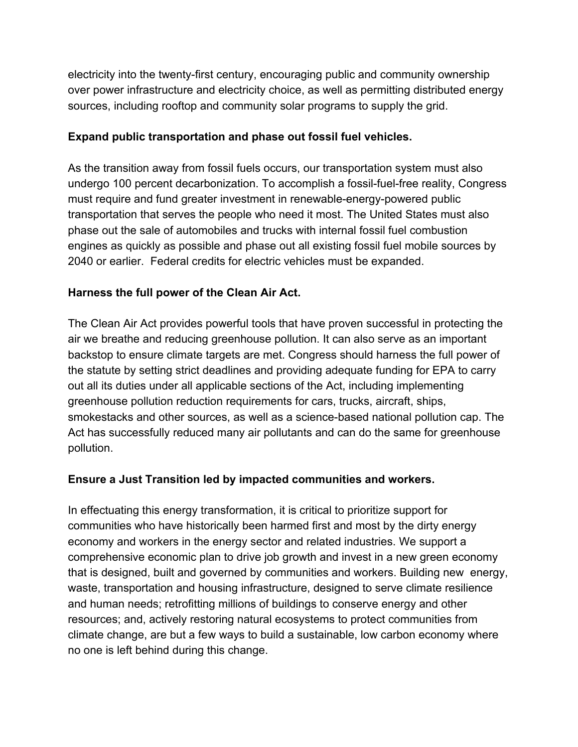electricity into the twenty-first century, encouraging public and community ownership over power infrastructure and electricity choice, as well as permitting distributed energy sources, including rooftop and community solar programs to supply the grid.

### **Expand public transportation and phase out fossil fuel vehicles.**

As the transition away from fossil fuels occurs, our transportation system must also undergo 100 percent decarbonization. To accomplish a fossil-fuel-free reality, Congress must require and fund greater investment in renewable-energy-powered public transportation that serves the people who need it most. The United States must also phase out the sale of automobiles and trucks with internal fossil fuel combustion engines as quickly as possible and phase out all existing fossil fuel mobile sources by 2040 or earlier. Federal credits for electric vehicles must be expanded.

### **Harness the full power of the Clean Air Act.**

The Clean Air Act provides powerful tools that have proven successful in protecting the air we breathe and reducing greenhouse pollution. It can also serve as an important backstop to ensure climate targets are met. Congress should harness the full power of the statute by setting strict deadlines and providing adequate funding for EPA to carry out all its duties under all applicable sections of the Act, including implementing greenhouse pollution reduction requirements for cars, trucks, aircraft, ships, smokestacks and other sources, as well as a science-based national pollution cap. The Act has successfully reduced many air pollutants and can do the same for greenhouse pollution.

#### **Ensure a Just Transition led by impacted communities and workers.**

In effectuating this energy transformation, it is critical to prioritize support for communities who have historically been harmed first and most by the dirty energy economy and workers in the energy sector and related industries. We support a comprehensive economic plan to drive job growth and invest in a new green economy that is designed, built and governed by communities and workers. Building new energy, waste, transportation and housing infrastructure, designed to serve climate resilience and human needs; retrofitting millions of buildings to conserve energy and other resources; and, actively restoring natural ecosystems to protect communities from climate change, are but a few ways to build a sustainable, low carbon economy where no one is left behind during this change.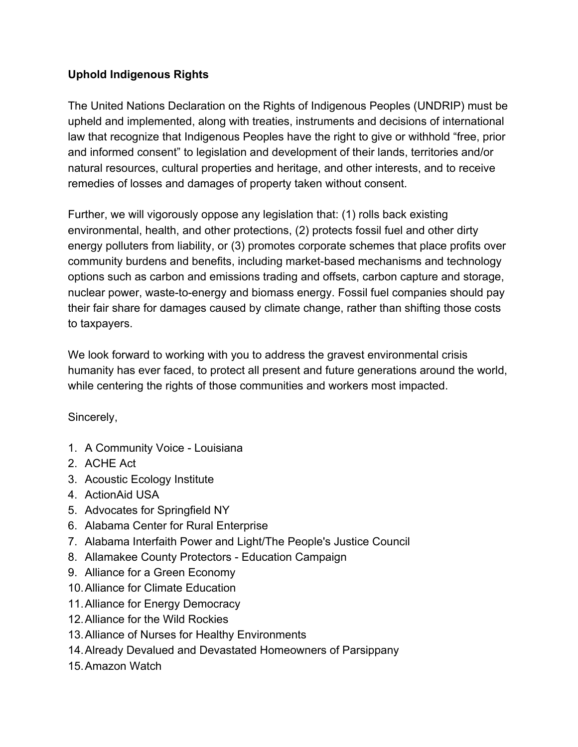## **Uphold Indigenous Rights**

The United Nations Declaration on the Rights of Indigenous Peoples (UNDRIP) must be upheld and implemented, along with treaties, instruments and decisions of international law that recognize that Indigenous Peoples have the right to give or withhold "free, prior and informed consent" to legislation and development of their lands, territories and/or natural resources, cultural properties and heritage, and other interests, and to receive remedies of losses and damages of property taken without consent.

Further, we will vigorously oppose any legislation that: (1) rolls back existing environmental, health, and other protections, (2) protects fossil fuel and other dirty energy polluters from liability, or (3) promotes corporate schemes that place profits over community burdens and benefits, including market-based mechanisms and technology options such as carbon and emissions trading and offsets, carbon capture and storage, nuclear power, waste-to-energy and biomass energy. Fossil fuel companies should pay their fair share for damages caused by climate change, rather than shifting those costs to taxpayers.

We look forward to working with you to address the gravest environmental crisis humanity has ever faced, to protect all present and future generations around the world, while centering the rights of those communities and workers most impacted.

Sincerely,

- 1. A Community Voice Louisiana
- 2. ACHE Act
- 3. Acoustic Ecology Institute
- 4. ActionAid USA
- 5. Advocates for Springfield NY
- 6. Alabama Center for Rural Enterprise
- 7. Alabama Interfaith Power and Light/The People's Justice Council
- 8. Allamakee County Protectors Education Campaign
- 9. Alliance for a Green Economy
- 10.Alliance for Climate Education
- 11.Alliance for Energy Democracy
- 12.Alliance for the Wild Rockies
- 13.Alliance of Nurses for Healthy Environments
- 14.Already Devalued and Devastated Homeowners of Parsippany
- 15.Amazon Watch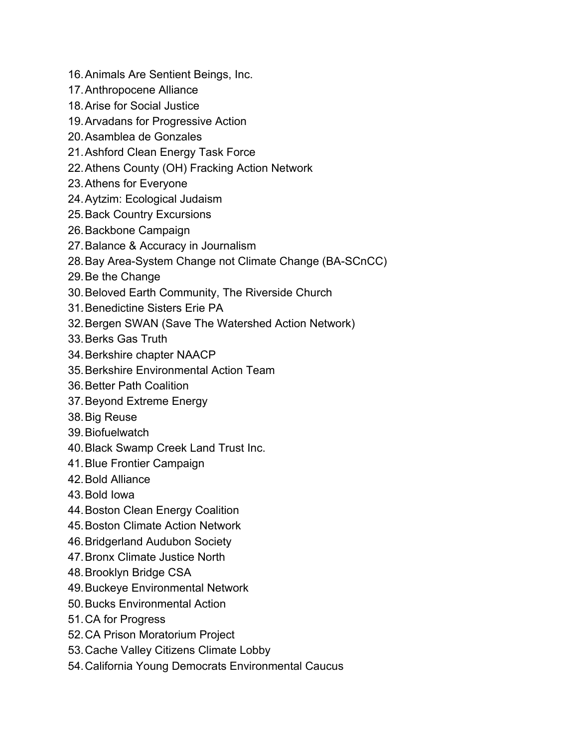- 16.Animals Are Sentient Beings, Inc.
- 17.Anthropocene Alliance
- 18.Arise for Social Justice
- 19.Arvadans for Progressive Action
- 20.Asamblea de Gonzales
- 21.Ashford Clean Energy Task Force
- 22.Athens County (OH) Fracking Action Network
- 23.Athens for Everyone
- 24.Aytzim: Ecological Judaism
- 25.Back Country Excursions
- 26.Backbone Campaign
- 27.Balance & Accuracy in Journalism
- 28.Bay Area-System Change not Climate Change (BA-SCnCC)
- 29.Be the Change
- 30.Beloved Earth Community, The Riverside Church
- 31.Benedictine Sisters Erie PA
- 32.Bergen SWAN (Save The Watershed Action Network)
- 33.Berks Gas Truth
- 34.Berkshire chapter NAACP
- 35.Berkshire Environmental Action Team
- 36.Better Path Coalition
- 37.Beyond Extreme Energy
- 38.Big Reuse
- 39.Biofuelwatch
- 40.Black Swamp Creek Land Trust Inc.
- 41.Blue Frontier Campaign
- 42.Bold Alliance
- 43.Bold Iowa
- 44.Boston Clean Energy Coalition
- 45.Boston Climate Action Network
- 46.Bridgerland Audubon Society
- 47.Bronx Climate Justice North
- 48.Brooklyn Bridge CSA
- 49.Buckeye Environmental Network
- 50.Bucks Environmental Action
- 51.CA for Progress
- 52.CA Prison Moratorium Project
- 53.Cache Valley Citizens Climate Lobby
- 54.California Young Democrats Environmental Caucus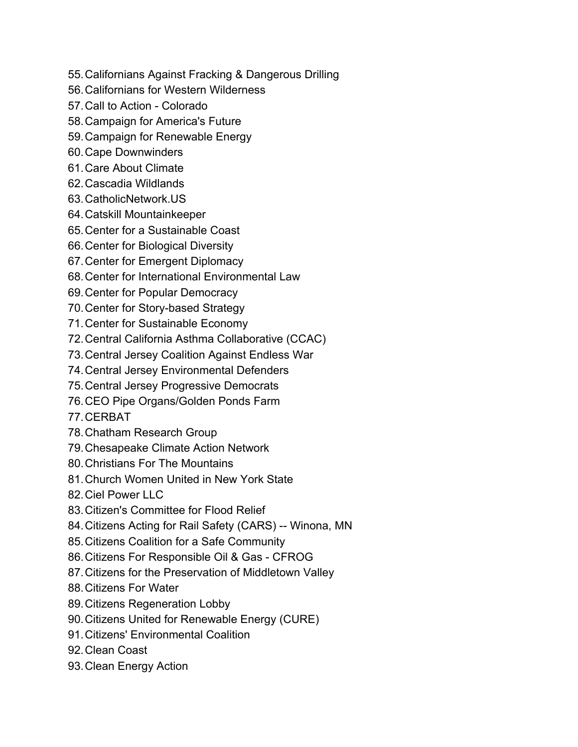- 55.Californians Against Fracking & Dangerous Drilling
- 56.Californians for Western Wilderness
- 57.Call to Action Colorado
- 58.Campaign for America's Future
- 59.Campaign for Renewable Energy
- 60.Cape Downwinders
- 61.Care About Climate
- 62.Cascadia Wildlands
- 63.CatholicNetwork.US
- 64.Catskill Mountainkeeper
- 65.Center for a Sustainable Coast
- 66.Center for Biological Diversity
- 67.Center for Emergent Diplomacy
- 68.Center for International Environmental Law
- 69.Center for Popular Democracy
- 70.Center for Story-based Strategy
- 71.Center for Sustainable Economy
- 72.Central California Asthma Collaborative (CCAC)
- 73.Central Jersey Coalition Against Endless War
- 74.Central Jersey Environmental Defenders
- 75.Central Jersey Progressive Democrats
- 76.CEO Pipe Organs/Golden Ponds Farm
- 77.CERBAT
- 78.Chatham Research Group
- 79.Chesapeake Climate Action Network
- 80.Christians For The Mountains
- 81.Church Women United in New York State
- 82.Ciel Power LLC
- 83.Citizen's Committee for Flood Relief
- 84.Citizens Acting for Rail Safety (CARS) -- Winona, MN
- 85.Citizens Coalition for a Safe Community
- 86.Citizens For Responsible Oil & Gas CFROG
- 87.Citizens for the Preservation of Middletown Valley
- 88.Citizens For Water
- 89.Citizens Regeneration Lobby
- 90.Citizens United for Renewable Energy (CURE)
- 91.Citizens' Environmental Coalition
- 92.Clean Coast
- 93.Clean Energy Action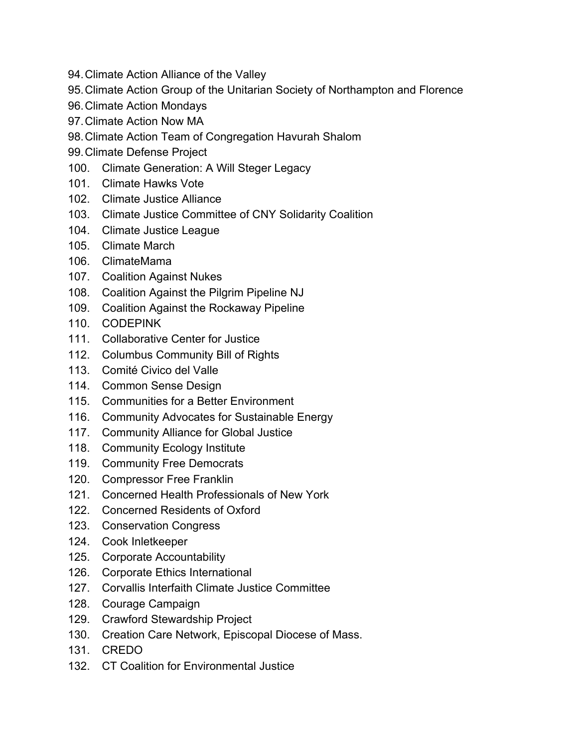- 94.Climate Action Alliance of the Valley
- 95.Climate Action Group of the Unitarian Society of Northampton and Florence
- 96.Climate Action Mondays
- 97.Climate Action Now MA
- 98.Climate Action Team of Congregation Havurah Shalom
- 99.Climate Defense Project
- 100. Climate Generation: A Will Steger Legacy
- 101. Climate Hawks Vote
- 102. Climate Justice Alliance
- 103. Climate Justice Committee of CNY Solidarity Coalition
- 104. Climate Justice League
- 105. Climate March
- 106. ClimateMama
- 107. Coalition Against Nukes
- 108. Coalition Against the Pilgrim Pipeline NJ
- 109. Coalition Against the Rockaway Pipeline
- 110. CODEPINK
- 111. Collaborative Center for Justice
- 112. Columbus Community Bill of Rights
- 113. Comité Civico del Valle
- 114. Common Sense Design
- 115. Communities for a Better Environment
- 116. Community Advocates for Sustainable Energy
- 117. Community Alliance for Global Justice
- 118. Community Ecology Institute
- 119. Community Free Democrats
- 120. Compressor Free Franklin
- 121. Concerned Health Professionals of New York
- 122. Concerned Residents of Oxford
- 123. Conservation Congress
- 124. Cook Inletkeeper
- 125. Corporate Accountability
- 126. Corporate Ethics International
- 127. Corvallis Interfaith Climate Justice Committee
- 128. Courage Campaign
- 129. Crawford Stewardship Project
- 130. Creation Care Network, Episcopal Diocese of Mass.
- 131. CREDO
- 132. CT Coalition for Environmental Justice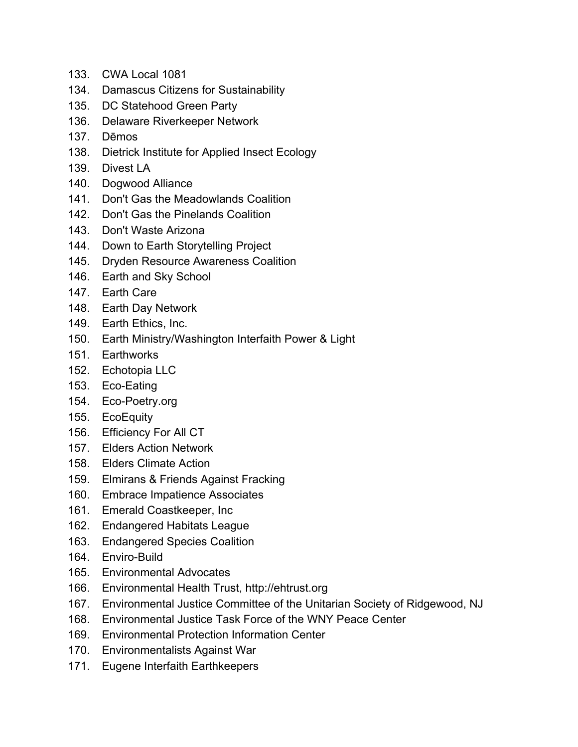- 133. CWA Local 1081
- 134. Damascus Citizens for Sustainability
- 135. DC Statehood Green Party
- 136. Delaware Riverkeeper Network
- 137. Dēmos
- 138. Dietrick Institute for Applied Insect Ecology
- 139. Divest LA
- 140. Dogwood Alliance
- 141. Don't Gas the Meadowlands Coalition
- 142. Don't Gas the Pinelands Coalition
- 143. Don't Waste Arizona
- 144. Down to Earth Storytelling Project
- 145. Dryden Resource Awareness Coalition
- 146. Earth and Sky School
- 147. Earth Care
- 148. Earth Day Network
- 149. Earth Ethics, Inc.
- 150. Earth Ministry/Washington Interfaith Power & Light
- 151. Earthworks
- 152. Echotopia LLC
- 153. Eco-Eating
- 154. Eco-Poetry.org
- 155. EcoEquity
- 156. Efficiency For All CT
- 157. Elders Action Network
- 158. Elders Climate Action
- 159. Elmirans & Friends Against Fracking
- 160. Embrace Impatience Associates
- 161. Emerald Coastkeeper, Inc
- 162. Endangered Habitats League
- 163. Endangered Species Coalition
- 164. Enviro-Build
- 165. Environmental Advocates
- 166. Environmental Health Trust, http://ehtrust.org
- 167. Environmental Justice Committee of the Unitarian Society of Ridgewood, NJ
- 168. Environmental Justice Task Force of the WNY Peace Center
- 169. Environmental Protection Information Center
- 170. Environmentalists Against War
- 171. Eugene Interfaith Earthkeepers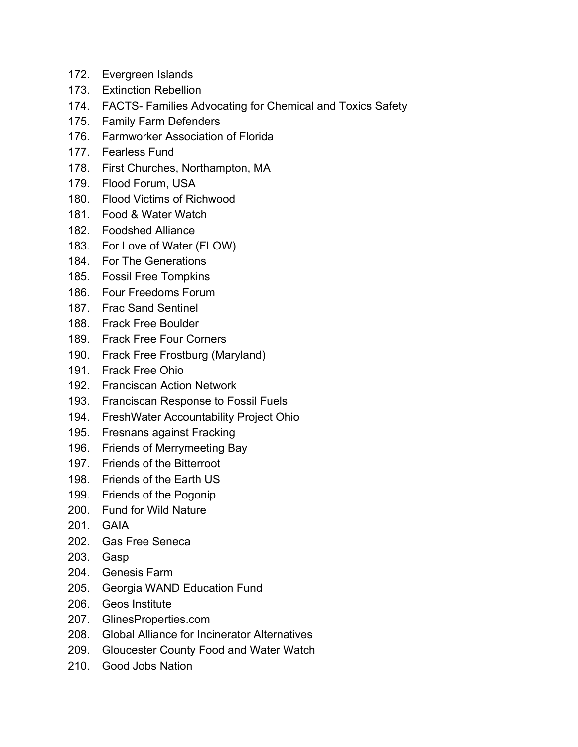- 172. Evergreen Islands
- 173. Extinction Rebellion
- 174. FACTS- Families Advocating for Chemical and Toxics Safety
- 175. Family Farm Defenders
- 176. Farmworker Association of Florida
- 177. Fearless Fund
- 178. First Churches, Northampton, MA
- 179. Flood Forum, USA
- 180. Flood Victims of Richwood
- 181. Food & Water Watch
- 182. Foodshed Alliance
- 183. For Love of Water (FLOW)
- 184. For The Generations
- 185. Fossil Free Tompkins
- 186. Four Freedoms Forum
- 187. Frac Sand Sentinel
- 188. Frack Free Boulder
- 189. Frack Free Four Corners
- 190. Frack Free Frostburg (Maryland)
- 191. Frack Free Ohio
- 192. Franciscan Action Network
- 193. Franciscan Response to Fossil Fuels
- 194. FreshWater Accountability Project Ohio
- 195. Fresnans against Fracking
- 196. Friends of Merrymeeting Bay
- 197. Friends of the Bitterroot
- 198. Friends of the Earth US
- 199. Friends of the Pogonip
- 200. Fund for Wild Nature
- 201. GAIA
- 202. Gas Free Seneca
- 203. Gasp
- 204. Genesis Farm
- 205. Georgia WAND Education Fund
- 206. Geos Institute
- 207. GlinesProperties.com
- 208. Global Alliance for Incinerator Alternatives
- 209. Gloucester County Food and Water Watch
- 210. Good Jobs Nation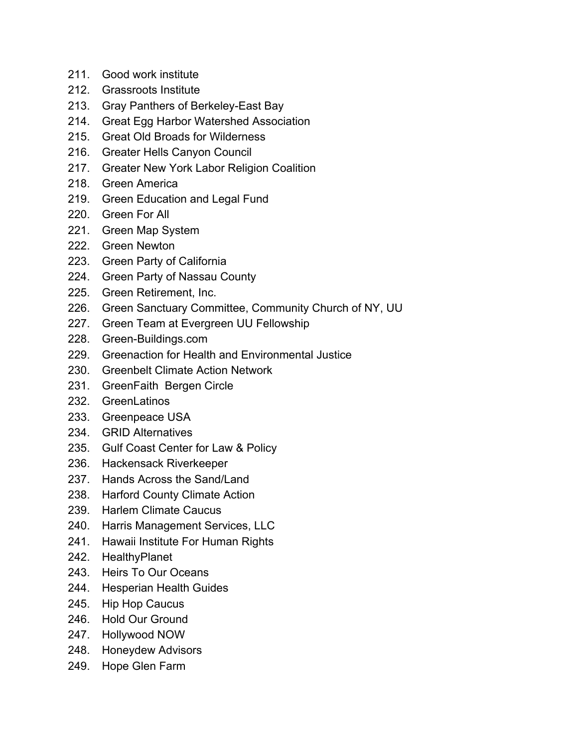- 211. Good work institute
- 212. Grassroots Institute
- 213. Gray Panthers of Berkeley-East Bay
- 214. Great Egg Harbor Watershed Association
- 215. Great Old Broads for Wilderness
- 216. Greater Hells Canyon Council
- 217. Greater New York Labor Religion Coalition
- 218. Green America
- 219. Green Education and Legal Fund
- 220. Green For All
- 221. Green Map System
- 222. Green Newton
- 223. Green Party of California
- 224. Green Party of Nassau County
- 225. Green Retirement, Inc.
- 226. Green Sanctuary Committee, Community Church of NY, UU
- 227. Green Team at Evergreen UU Fellowship
- 228. Green-Buildings.com
- 229. Greenaction for Health and Environmental Justice
- 230. Greenbelt Climate Action Network
- 231. GreenFaith Bergen Circle
- 232. GreenLatinos
- 233. Greenpeace USA
- 234. GRID Alternatives
- 235. Gulf Coast Center for Law & Policy
- 236. Hackensack Riverkeeper
- 237. Hands Across the Sand/Land
- 238. Harford County Climate Action
- 239. Harlem Climate Caucus
- 240. Harris Management Services, LLC
- 241. Hawaii Institute For Human Rights
- 242. HealthyPlanet
- 243. Heirs To Our Oceans
- 244. Hesperian Health Guides
- 245. Hip Hop Caucus
- 246. Hold Our Ground
- 247. Hollywood NOW
- 248. Honeydew Advisors
- 249. Hope Glen Farm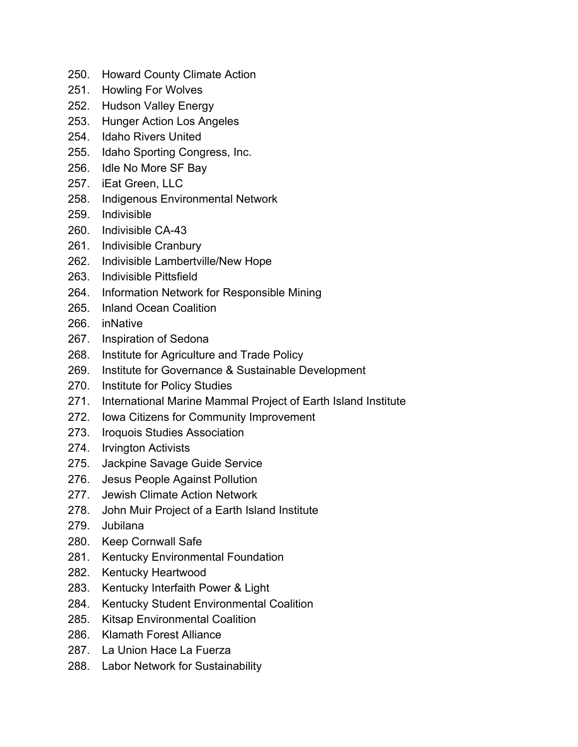- 250. Howard County Climate Action
- 251. Howling For Wolves
- 252. Hudson Valley Energy
- 253. Hunger Action Los Angeles
- 254. Idaho Rivers United
- 255. Idaho Sporting Congress, Inc.
- 256. Idle No More SF Bay
- 257. iEat Green, LLC
- 258. Indigenous Environmental Network
- 259. Indivisible
- 260. Indivisible CA-43
- 261. Indivisible Cranbury
- 262. Indivisible Lambertville/New Hope
- 263. Indivisible Pittsfield
- 264. Information Network for Responsible Mining
- 265. Inland Ocean Coalition
- 266. inNative
- 267. Inspiration of Sedona
- 268. Institute for Agriculture and Trade Policy
- 269. Institute for Governance & Sustainable Development
- 270. Institute for Policy Studies
- 271. International Marine Mammal Project of Earth Island Institute
- 272. Iowa Citizens for Community Improvement
- 273. Iroquois Studies Association
- 274. Irvington Activists
- 275. Jackpine Savage Guide Service
- 276. Jesus People Against Pollution
- 277. Jewish Climate Action Network
- 278. John Muir Project of a Earth Island Institute
- 279. Jubilana
- 280. Keep Cornwall Safe
- 281. Kentucky Environmental Foundation
- 282. Kentucky Heartwood
- 283. Kentucky Interfaith Power & Light
- 284. Kentucky Student Environmental Coalition
- 285. Kitsap Environmental Coalition
- 286. Klamath Forest Alliance
- 287. La Union Hace La Fuerza
- 288. Labor Network for Sustainability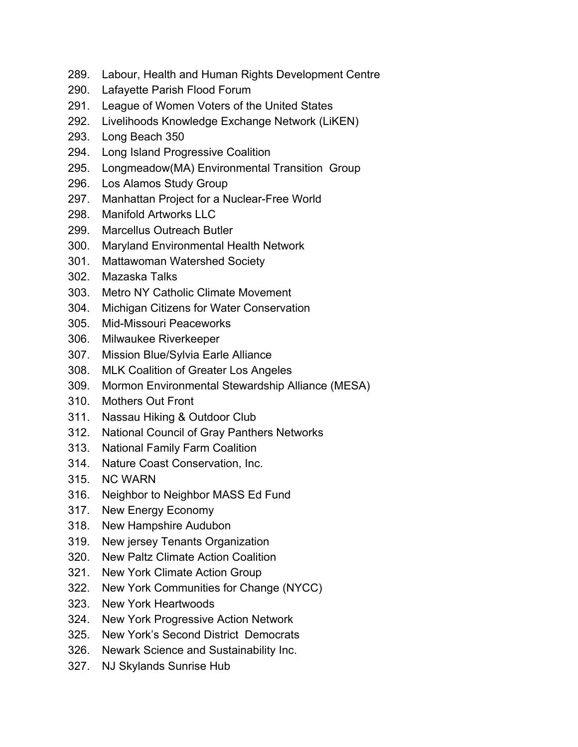- 289. Labour, Health and Human Rights Development Centre
- 290. Lafayette Parish Flood Forum
- 291. League of Women Voters of the United States
- 292. Livelihoods Knowledge Exchange Network (LiKEN)
- 293. Long Beach 350
- 294. Long Island Progressive Coalition
- 295. Longmeadow(MA) Environmental Transition Group
- 296. Los Alamos Study Group
- 297. Manhattan Project for a Nuclear-Free World
- 298. Manifold Artworks LLC
- 299. Marcellus Outreach Butler
- 300. Maryland Environmental Health Network
- 301. Mattawoman Watershed Society
- 302. Mazaska Talks
- 303. Metro NY Catholic Climate Movement
- 304. Michigan Citizens for Water Conservation
- 305. Mid-Missouri Peaceworks
- 306. Milwaukee Riverkeeper
- 307. Mission Blue/Sylvia Earle Alliance
- 308. MLK Coalition of Greater Los Angeles
- 309. Mormon Environmental Stewardship Alliance (MESA)
- 310. Mothers Out Front
- 311. Nassau Hiking & Outdoor Club
- 312. National Council of Gray Panthers Networks
- 313. National Family Farm Coalition
- 314. Nature Coast Conservation, Inc.
- 315. NC WARN
- 316. Neighbor to Neighbor MASS Ed Fund
- 317. New Energy Economy
- 318. New Hampshire Audubon
- 319. New jersey Tenants Organization
- 320. New Paltz Climate Action Coalition
- 321. New York Climate Action Group
- 322. New York Communities for Change (NYCC)
- 323. New York Heartwoods
- 324. New York Progressive Action Network
- 325. New York's Second District Democrats
- 326. Newark Science and Sustainability Inc.
- 327. NJ Skylands Sunrise Hub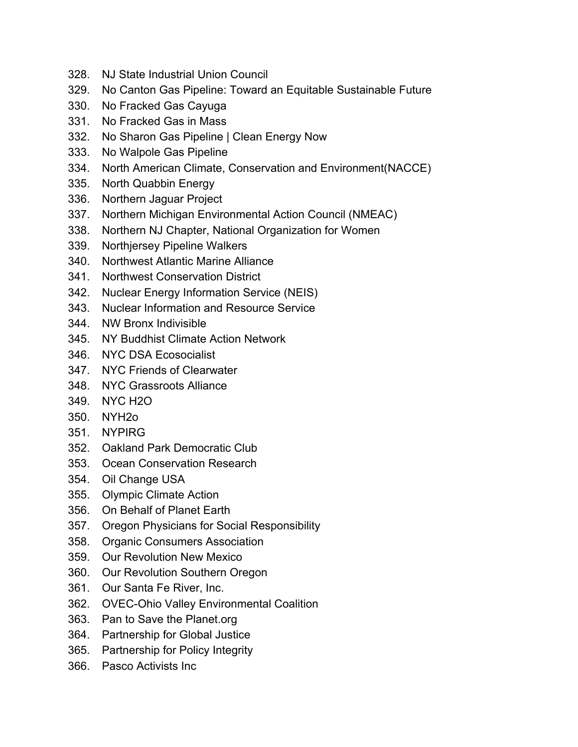- 328. NJ State Industrial Union Council
- 329. No Canton Gas Pipeline: Toward an Equitable Sustainable Future
- 330. No Fracked Gas Cayuga
- 331. No Fracked Gas in Mass
- 332. No Sharon Gas Pipeline | Clean Energy Now
- 333. No Walpole Gas Pipeline
- 334. North American Climate, Conservation and Environment(NACCE)
- 335. North Quabbin Energy
- 336. Northern Jaguar Project
- 337. Northern Michigan Environmental Action Council (NMEAC)
- 338. Northern NJ Chapter, National Organization for Women
- 339. Northjersey Pipeline Walkers
- 340. Northwest Atlantic Marine Alliance
- 341. Northwest Conservation District
- 342. Nuclear Energy Information Service (NEIS)
- 343. Nuclear Information and Resource Service
- 344. NW Bronx Indivisible
- 345. NY Buddhist Climate Action Network
- 346. NYC DSA Ecosocialist
- 347. NYC Friends of Clearwater
- 348. NYC Grassroots Alliance
- 349. NYC H2O
- 350. NYH2o
- 351. NYPIRG
- 352. Oakland Park Democratic Club
- 353. Ocean Conservation Research
- 354. Oil Change USA
- 355. Olympic Climate Action
- 356. On Behalf of Planet Earth
- 357. Oregon Physicians for Social Responsibility
- 358. Organic Consumers Association
- 359. Our Revolution New Mexico
- 360. Our Revolution Southern Oregon
- 361. Our Santa Fe River, Inc.
- 362. OVEC-Ohio Valley Environmental Coalition
- 363. Pan to Save the Planet.org
- 364. Partnership for Global Justice
- 365. Partnership for Policy Integrity
- 366. Pasco Activists Inc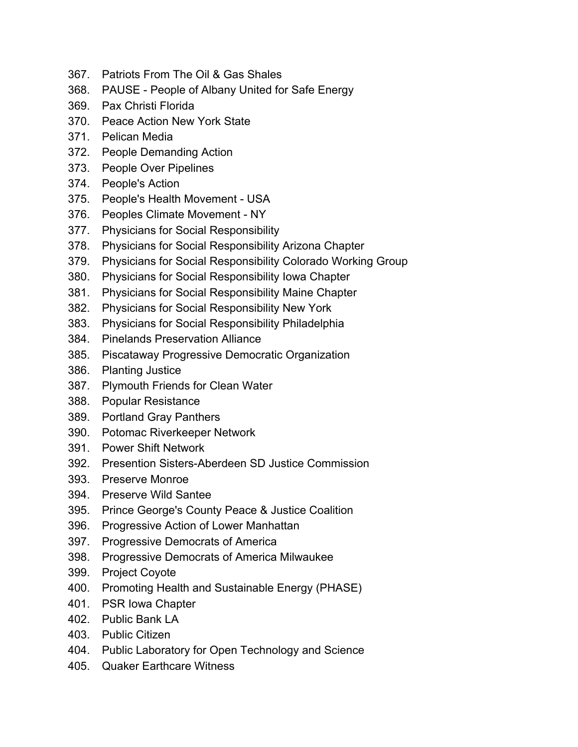- 367. Patriots From The Oil & Gas Shales
- 368. PAUSE People of Albany United for Safe Energy
- 369. Pax Christi Florida
- 370. Peace Action New York State
- 371. Pelican Media
- 372. People Demanding Action
- 373. People Over Pipelines
- 374. People's Action
- 375. People's Health Movement USA
- 376. Peoples Climate Movement NY
- 377. Physicians for Social Responsibility
- 378. Physicians for Social Responsibility Arizona Chapter
- 379. Physicians for Social Responsibility Colorado Working Group
- 380. Physicians for Social Responsibility Iowa Chapter
- 381. Physicians for Social Responsibility Maine Chapter
- 382. Physicians for Social Responsibility New York
- 383. Physicians for Social Responsibility Philadelphia
- 384. Pinelands Preservation Alliance
- 385. Piscataway Progressive Democratic Organization
- 386. Planting Justice
- 387. Plymouth Friends for Clean Water
- 388. Popular Resistance
- 389. Portland Gray Panthers
- 390. Potomac Riverkeeper Network
- 391. Power Shift Network
- 392. Presention Sisters-Aberdeen SD Justice Commission
- 393. Preserve Monroe
- 394. Preserve Wild Santee
- 395. Prince George's County Peace & Justice Coalition
- 396. Progressive Action of Lower Manhattan
- 397. Progressive Democrats of America
- 398. Progressive Democrats of America Milwaukee
- 399. Project Coyote
- 400. Promoting Health and Sustainable Energy (PHASE)
- 401. PSR Iowa Chapter
- 402. Public Bank LA
- 403. Public Citizen
- 404. Public Laboratory for Open Technology and Science
- 405. Quaker Earthcare Witness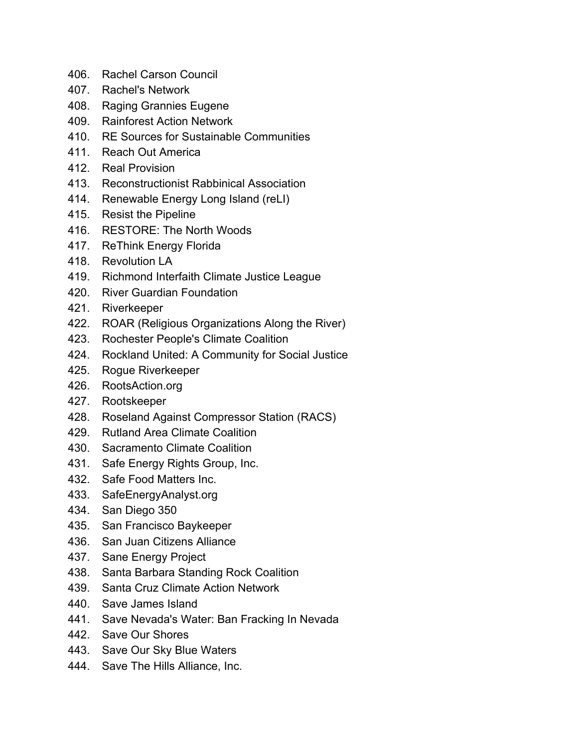- 406. Rachel Carson Council
- 407. Rachel's Network
- 408. Raging Grannies Eugene
- 409. Rainforest Action Network
- 410. RE Sources for Sustainable Communities
- 411. Reach Out America
- 412. Real Provision
- 413. Reconstructionist Rabbinical Association
- 414. Renewable Energy Long Island (reLI)
- 415. Resist the Pipeline
- 416. RESTORE: The North Woods
- 417. ReThink Energy Florida
- 418. Revolution LA
- 419. Richmond Interfaith Climate Justice League
- 420. River Guardian Foundation
- 421. Riverkeeper
- 422. ROAR (Religious Organizations Along the River)
- 423. Rochester People's Climate Coalition
- 424. Rockland United: A Community for Social Justice
- 425. Rogue Riverkeeper
- 426. RootsAction.org
- 427. Rootskeeper
- 428. Roseland Against Compressor Station (RACS)
- 429. Rutland Area Climate Coalition
- 430. Sacramento Climate Coalition
- 431. Safe Energy Rights Group, Inc.
- 432. Safe Food Matters Inc.
- 433. SafeEnergyAnalyst.org
- 434. San Diego 350
- 435. San Francisco Baykeeper
- 436. San Juan Citizens Alliance
- 437. Sane Energy Project
- 438. Santa Barbara Standing Rock Coalition
- 439. Santa Cruz Climate Action Network
- 440. Save James Island
- 441. Save Nevada's Water: Ban Fracking In Nevada
- 442. Save Our Shores
- 443. Save Our Sky Blue Waters
- 444. Save The Hills Alliance, Inc.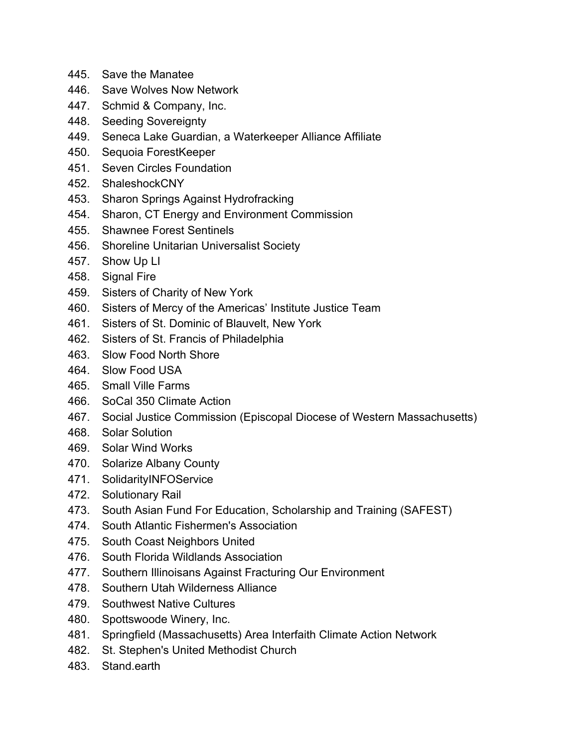- 445. Save the Manatee
- 446. Save Wolves Now Network
- 447. Schmid & Company, Inc.
- 448. Seeding Sovereignty
- 449. Seneca Lake Guardian, a Waterkeeper Alliance Affiliate
- 450. Sequoia ForestKeeper
- 451. Seven Circles Foundation
- 452. ShaleshockCNY
- 453. Sharon Springs Against Hydrofracking
- 454. Sharon, CT Energy and Environment Commission
- 455. Shawnee Forest Sentinels
- 456. Shoreline Unitarian Universalist Society
- 457. Show Up LI
- 458. Signal Fire
- 459. Sisters of Charity of New York
- 460. Sisters of Mercy of the Americas' Institute Justice Team
- 461. Sisters of St. Dominic of Blauvelt, New York
- 462. Sisters of St. Francis of Philadelphia
- 463. Slow Food North Shore
- 464. Slow Food USA
- 465. Small Ville Farms
- 466. SoCal 350 Climate Action
- 467. Social Justice Commission (Episcopal Diocese of Western Massachusetts)
- 468. Solar Solution
- 469. Solar Wind Works
- 470. Solarize Albany County
- 471. SolidarityINFOService
- 472. Solutionary Rail
- 473. South Asian Fund For Education, Scholarship and Training (SAFEST)
- 474. South Atlantic Fishermen's Association
- 475. South Coast Neighbors United
- 476. South Florida Wildlands Association
- 477. Southern Illinoisans Against Fracturing Our Environment
- 478. Southern Utah Wilderness Alliance
- 479. Southwest Native Cultures
- 480. Spottswoode Winery, Inc.
- 481. Springfield (Massachusetts) Area Interfaith Climate Action Network
- 482. St. Stephen's United Methodist Church
- 483. Stand.earth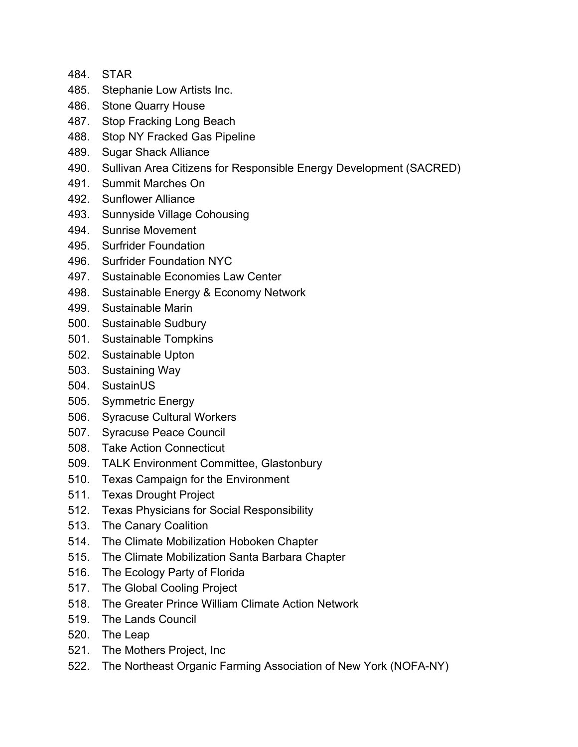- 484. STAR
- 485. Stephanie Low Artists Inc.
- 486. Stone Quarry House
- 487. Stop Fracking Long Beach
- 488. Stop NY Fracked Gas Pipeline
- 489. Sugar Shack Alliance
- 490. Sullivan Area Citizens for Responsible Energy Development (SACRED)
- 491. Summit Marches On
- 492. Sunflower Alliance
- 493. Sunnyside Village Cohousing
- 494. Sunrise Movement
- 495. Surfrider Foundation
- 496. Surfrider Foundation NYC
- 497. Sustainable Economies Law Center
- 498. Sustainable Energy & Economy Network
- 499. Sustainable Marin
- 500. Sustainable Sudbury
- 501. Sustainable Tompkins
- 502. Sustainable Upton
- 503. Sustaining Way
- 504. SustainUS
- 505. Symmetric Energy
- 506. Syracuse Cultural Workers
- 507. Syracuse Peace Council
- 508. Take Action Connecticut
- 509. TALK Environment Committee, Glastonbury
- 510. Texas Campaign for the Environment
- 511. Texas Drought Project
- 512. Texas Physicians for Social Responsibility
- 513. The Canary Coalition
- 514. The Climate Mobilization Hoboken Chapter
- 515. The Climate Mobilization Santa Barbara Chapter
- 516. The Ecology Party of Florida
- 517. The Global Cooling Project
- 518. The Greater Prince William Climate Action Network
- 519. The Lands Council
- 520. The Leap
- 521. The Mothers Project, Inc
- 522. The Northeast Organic Farming Association of New York (NOFA-NY)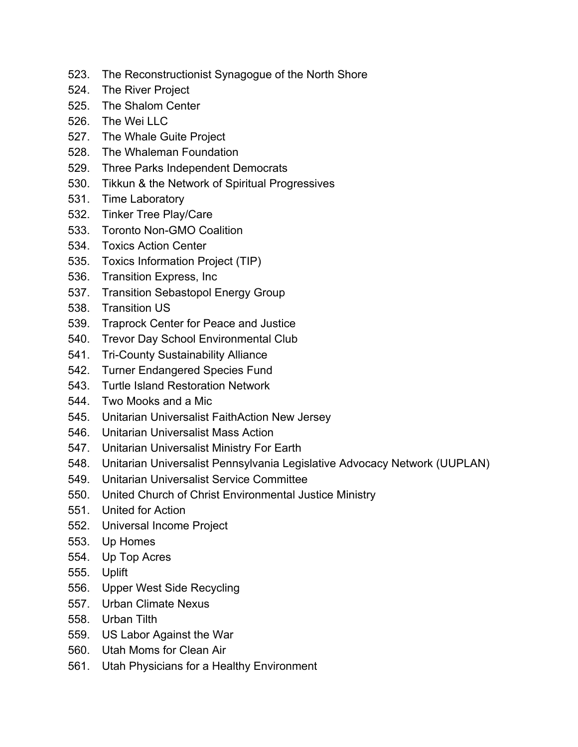- 523. The Reconstructionist Synagogue of the North Shore
- 524. The River Project
- 525. The Shalom Center
- 526. The Wei LLC
- 527. The Whale Guite Project
- 528. The Whaleman Foundation
- 529. Three Parks Independent Democrats
- 530. Tikkun & the Network of Spiritual Progressives
- 531. Time Laboratory
- 532. Tinker Tree Play/Care
- 533. Toronto Non-GMO Coalition
- 534. Toxics Action Center
- 535. Toxics Information Project (TIP)
- 536. Transition Express, Inc
- 537. Transition Sebastopol Energy Group
- 538. Transition US
- 539. Traprock Center for Peace and Justice
- 540. Trevor Day School Environmental Club
- 541. Tri-County Sustainability Alliance
- 542. Turner Endangered Species Fund
- 543. Turtle Island Restoration Network
- 544. Two Mooks and a Mic
- 545. Unitarian Universalist FaithAction New Jersey
- 546. Unitarian Universalist Mass Action
- 547. Unitarian Universalist Ministry For Earth
- 548. Unitarian Universalist Pennsylvania Legislative Advocacy Network (UUPLAN)
- 549. Unitarian Universalist Service Committee
- 550. United Church of Christ Environmental Justice Ministry
- 551. United for Action
- 552. Universal Income Project
- 553. Up Homes
- 554. Up Top Acres
- 555. Uplift
- 556. Upper West Side Recycling
- 557. Urban Climate Nexus
- 558. Urban Tilth
- 559. US Labor Against the War
- 560. Utah Moms for Clean Air
- 561. Utah Physicians for a Healthy Environment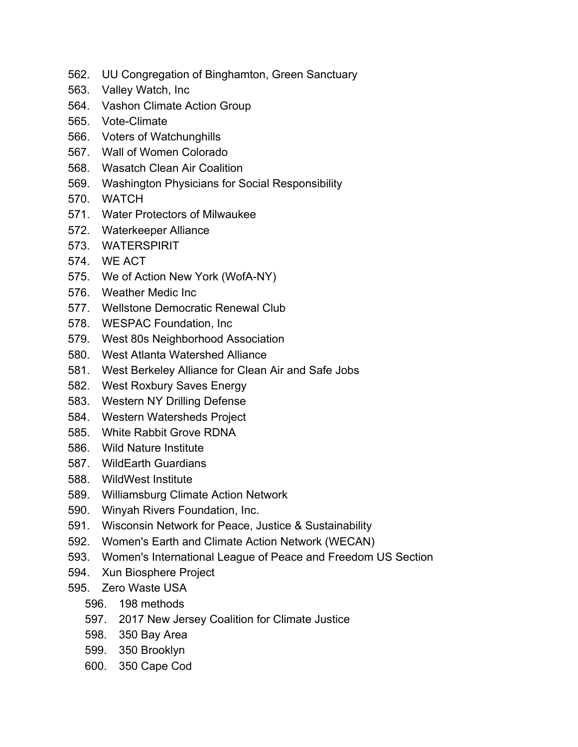- 562. UU Congregation of Binghamton, Green Sanctuary
- 563. Valley Watch, Inc
- 564. Vashon Climate Action Group
- 565. Vote-Climate
- 566. Voters of Watchunghills
- 567. Wall of Women Colorado
- 568. Wasatch Clean Air Coalition
- 569. Washington Physicians for Social Responsibility
- 570. WATCH
- 571. Water Protectors of Milwaukee
- 572. Waterkeeper Alliance
- 573. WATERSPIRIT
- 574. WE ACT
- 575. We of Action New York (WofA-NY)
- 576. Weather Medic Inc
- 577. Wellstone Democratic Renewal Club
- 578. WESPAC Foundation, Inc
- 579. West 80s Neighborhood Association
- 580. West Atlanta Watershed Alliance
- 581. West Berkeley Alliance for Clean Air and Safe Jobs
- 582. West Roxbury Saves Energy
- 583. Western NY Drilling Defense
- 584. Western Watersheds Project
- 585. White Rabbit Grove RDNA
- 586. Wild Nature Institute
- 587. WildEarth Guardians
- 588. WildWest Institute
- 589. Williamsburg Climate Action Network
- 590. Winyah Rivers Foundation, Inc.
- 591. Wisconsin Network for Peace, Justice & Sustainability
- 592. Women's Earth and Climate Action Network (WECAN)
- 593. Women's International League of Peace and Freedom US Section
- 594. Xun Biosphere Project
- 595. Zero Waste USA
	- 596. 198 methods
	- 597. 2017 New Jersey Coalition for Climate Justice
	- 598. 350 Bay Area
	- 599. 350 Brooklyn
	- 600. 350 Cape Cod